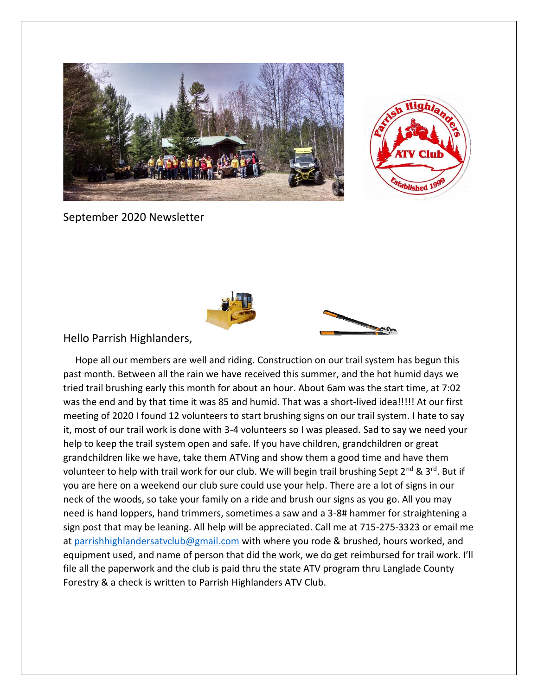



September 2020 Newsletter





## Hello Parrish Highlanders,

 Hope all our members are well and riding. Construction on our trail system has begun this past month. Between all the rain we have received this summer, and the hot humid days we tried trail brushing early this month for about an hour. About 6am was the start time, at 7:02 was the end and by that time it was 85 and humid. That was a short-lived idea!!!!! At our first meeting of 2020 I found 12 volunteers to start brushing signs on our trail system. I hate to say it, most of our trail work is done with 3-4 volunteers so I was pleased. Sad to say we need your help to keep the trail system open and safe. If you have children, grandchildren or great grandchildren like we have, take them ATVing and show them a good time and have them volunteer to help with trail work for our club. We will begin trail brushing Sept  $2^{nd}$  &  $3^{rd}$ . But if you are here on a weekend our club sure could use your help. There are a lot of signs in our neck of the woods, so take your family on a ride and brush our signs as you go. All you may need is hand loppers, hand trimmers, sometimes a saw and a 3-8# hammer for straightening a sign post that may be leaning. All help will be appreciated. Call me at 715-275-3323 or email me at [parrishhighlandersatvclub@gmail.com](mailto:parrishhighlandersatvclub@gmail.com) with where you rode & brushed, hours worked, and equipment used, and name of person that did the work, we do get reimbursed for trail work. I'll file all the paperwork and the club is paid thru the state ATV program thru Langlade County Forestry & a check is written to Parrish Highlanders ATV Club.